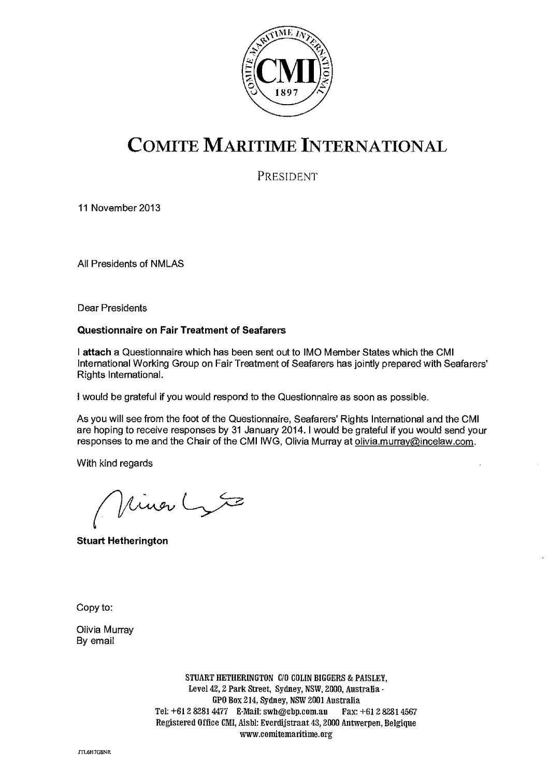

# COMITE MARITIME INTERNATIONAL

PRESIDENT

11 November 2013

All Presidents of NMLAS

Dear Presidents

#### **Questionnaire on Fair Treatment of Seafarers**

<sup>I</sup>**attach** a Questionnaire which has been sent out to IMO Member States which the CMI International Working Group on Fair Treatment of Seafarers has jointly prepared with Seafarers' Rights International.

**<sup>I</sup>**would be grateful if you would respond to the Questionnaire as soon as possible.

As you will see from the foot of the Questionnaire, Seafarers' Rights International and the CMI are hoping to receive responses by 31 January 2014. I would be grateful if you would send your responses to me and the Chair of the CMI IWG, Olivia Murray at olivia murray@incelaw.com.

With kind regards

linar Lyte

**Stuart Hetherington** 

Copy to:

Olivia Murray By email

> STUART HETHERINGTON C10 COLIN BIGGERS & PAISLEY, Level 42, 2 Park Street, Sydney, NSW, 2000, Australia - GPO Box 214, Sydney, NSW 2001 Australia Tel: +61 2 8281 4477 E-Mail: swh@cbp.com.au Fax: +61 2 8281 4567 Registered Office CMI, Aisbi: Everdijstraat 43, 2000 Antwerpen, Belgique www.comitematitime.org

JT461-17G8NR.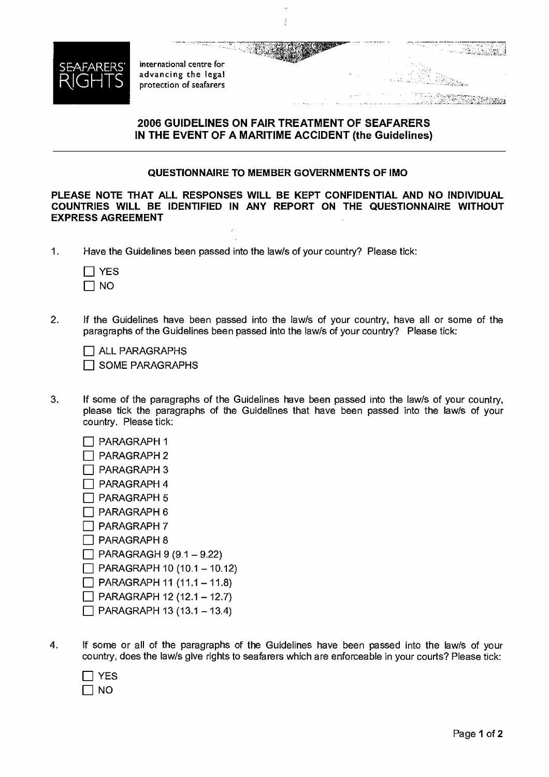

international centre for advancing the legal protection of seafarers

### **2006 GUIDELINES ON FAIR TREATMENT OF SEAFARERS IN THE EVENT OF A MARITIME ACCIDENT (the Guidelines)**

#### **QUESTIONNAIRE TO MEMBER GOVERNMENTS OF IMO**

**PLEASE NOTE THAT ALL RESPONSES WILL BE KEPT CONFIDENTIAL AND NO INDIVIDUAL COUNTRIES WILL BE IDENTIFIED IN ANY REPORT ON THE QUESTIONNAIRE WITHOUT EXPRESS AGREEMENT** 

1. Have the Guidelines been passed into the law/s of your country? Please tick:

| -5<br>۴ι |
|----------|
| N<br>r.  |

2. If the Guidelines have been passed into the law/s of your country, have all or some of the paragraphs of the Guidelines been passed into the law/s of your country? Please tick:

❑ ALL PARAGRAPHS ❑ SOME PARAGRAPHS

- 3. If some of the paragraphs of the Guidelines have been passed into the law/s of your country, please tick the paragraphs of the Guidelines that have been passed into the law/s of your country. Please tick:
	- ❑ PARAGRAPH 1 ❑ PARAGRAPH 2 ❑ PARAGRAPH 3 ❑ PARAGRAPH 4 ❑ PARAGRAPH 5 ❑ PARAGRAPH 6 ❑ PARAGRAPH 7 ❑ PARAGRAPH 8  $\Box$  PARAGRAGH 9 (9.1 – 9.22)  $\Box$  PARAGRAPH 10 (10.1 – 10.12)  $\Box$  PARAGRAPH 11 (11.1 – 11.8)  $\Box$  PARAGRAPH 12 (12.1 – 12.7)  $\Box$  PARAGRAPH 13 (13.1 – 13.4)
- 4. If some or all of the paragraphs of the Guidelines have been passed into the law/s of your country, does the law/s give rights to seafarers which are enforceable in your courts? Please tick:

| ۷<br>-<br>- |
|-------------|
| N<br>וז     |